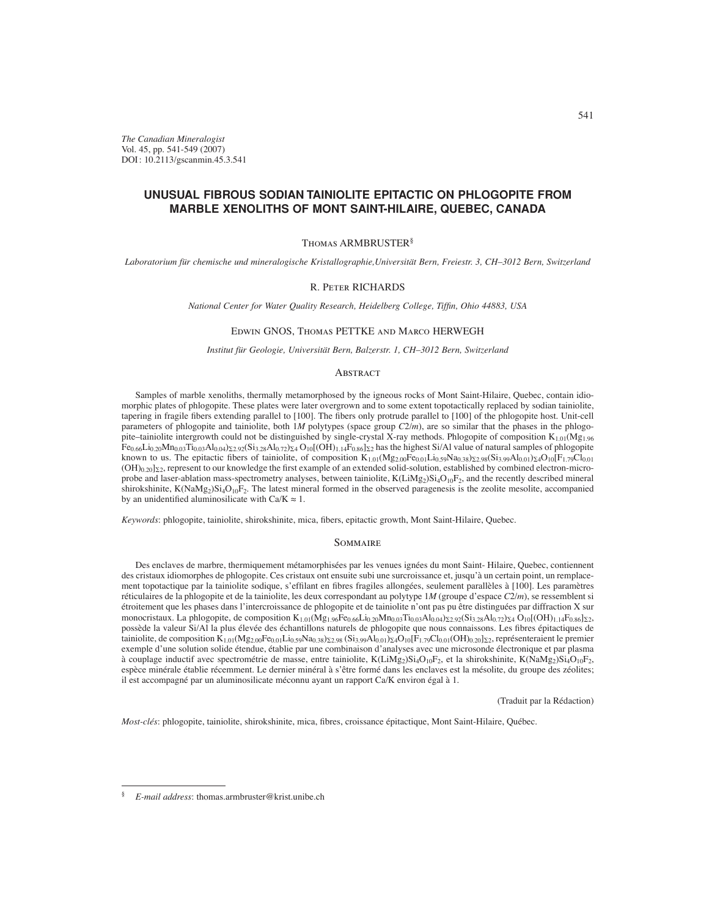*The Canadian Mineralogist* Vol. 45, pp. 541-549 (2007) DOI : 10.2113/gscanmin.45.3.541

# **UNUSUAL FIBROUS SODIAN TAINIOLITE EPITACTIC ON PHLOGOPITE FROM MARBLE XENOLITHS OF MONT SAINT-HILAIRE, QUEBEC, CANADA**

# Thomas ARMBRUSTER§

*Laboratorium für chemische und mineralogische Kristallographie,Universität Bern, Freiestr. 3, CH–3012 Bern, Switzerland*

# R. Peter RICHARDS

*National Center for Water Quality Research, Heidelberg College, Tiffin, Ohio 44883, USA* 

# Edwin GNOS, Thomas PETTKE and Marco HERWEGH

*Institut für Geologie, Universität Bern, Balzerstr. 1, CH–3012 Bern, Switzerland*

# **ABSTRACT**

Samples of marble xenoliths, thermally metamorphosed by the igneous rocks of Mont Saint-Hilaire, Quebec, contain idiomorphic plates of phlogopite. These plates were later overgrown and to some extent topotactically replaced by sodian tainiolite, tapering in fragile fibers extending parallel to [100]. The fibers only protrude parallel to [100] of the phlogopite host. Unit-cell parameters of phlogopite and tainiolite, both 1*M* polytypes (space group *C*2/*m*), are so similar that the phases in the phlogopite–tainiolite intergrowth could not be distinguished by single-crystal X-ray methods. Phlogopite of composition  $K_{1,01}(Mg_{1,96})$  $Fe_{0.66}$ Li $_{0.20}$ Mn $_{0.03}$ Ti $_{0.03}$ Al $_{0.04}$ ) $_{2.2}$ .92(Si<sub>3.28</sub>Al<sub>0.72</sub>) $_{\Sigma 4}$ O<sub>10</sub>[(OH)<sub>1.14</sub>F<sub>0.86</sub>] $_{\Sigma 2}$  has the highest Si/Al value of natural samples of phlogopite known to us. The epitactic fibers of tainiolite, of composition  $K_{1,01}(Mg_{2,00}Fe_{0,01}Li_{0.59}Na_{0.38})_{\Sigma 2.98}(Si_{3.99}Al_{0.01})_{\Sigma 4}O_{10}[F_{1.79}Cl_{0.01}]_{\Sigma 6}$  $(OH)_{0.20}]_{\Sigma}$ , represent to our knowledge the first example of an extended solid-solution, established by combined electron-microprobe and laser-ablation mass-spectrometry analyses, between tainiolite,  $K(LiMg_2)Si_4O_{10}F_2$ , and the recently described mineral shirokshinite, K(NaMg<sub>2</sub>)Si<sub>4</sub>O<sub>10</sub>F<sub>2</sub>. The latest mineral formed in the observed paragenesis is the zeolite mesolite, accompanied by an unidentified aluminosilicate with  $Ca/K \approx 1$ .

*Keywords*: phlogopite, tainiolite, shirokshinite, mica, fibers, epitactic growth, Mont Saint-Hilaire, Quebec.

#### **SOMMAIRE**

Des enclaves de marbre, thermiquement métamorphisées par les venues ignées du mont Saint- Hilaire, Quebec, contiennent des cristaux idiomorphes de phlogopite. Ces cristaux ont ensuite subi une surcroissance et, jusqu'à un certain point, un remplacement topotactique par la tainiolite sodique, s'effilant en fibres fragiles allongées, seulement parallèles à [100]. Les paramètres réticulaires de la phlogopite et de la tainiolite, les deux correspondant au polytype 1*M* (groupe d'espace *C*2/*m*), se ressemblent si étroitement que les phases dans l'intercroissance de phlogopite et de tainiolite n'ont pas pu être distinguées par diffraction X sur monocristaux. La phlogopite, de composition  $K_{1,01}(Mg_{1.96}Fe_{0.66}Li_{0.20}Mn_{0.03}Ti_{0.03}Al_{0.04})_{\Sigma_2.92}(Si_{3.28}Al_{0.72})_{\Sigma_4}O_{10}[(OH)_{1.14}Fe_{0.86}]_{\Sigma_2}$ possède la valeur Si/Al la plus élevée des échantillons naturels de phlogopite que nous connaissons. Les fibres épitactiques de tainiolite, de composition K<sub>1.01</sub>(Mg<sub>2.00</sub>Fe<sub>0.01</sub>Li<sub>0.59</sub>Na<sub>0.38</sub>) <sub>2.98</sub> (Si<sub>3.99</sub>Al<sub>0.01</sub>) <sub>2</sub>4O<sub>10</sub>[F<sub>1.79</sub>Cl<sub>0.01</sub>(OH)<sub>0.20</sub>] <sub>22</sub>, représenteraient le premier exemple d'une solution solide étendue, établie par une combinaison d'analyses avec une microsonde électronique et par plasma à couplage inductif avec spectrométrie de masse, entre tainiolite, K(LiMg<sub>2</sub>)Si<sub>4</sub>O<sub>10</sub>F<sub>2</sub>, et la shirokshinite, K(NaMg<sub>2</sub>)Si<sub>4</sub>O<sub>10</sub>F<sub>2</sub>, espèce minérale établie récemment. Le dernier minéral à s'être formé dans les enclaves est la mésolite, du groupe des zéolites; il est accompagné par un aluminosilicate méconnu ayant un rapport Ca/K environ égal à 1.

(Traduit par la Rédaction)

*Most-clés*: phlogopite, tainiolite, shirokshinite, mica, fibres, croissance épitactique, Mont Saint-Hilaire, Québec.

<sup>§</sup> *E-mail address*: thomas.armbruster@krist.unibe.ch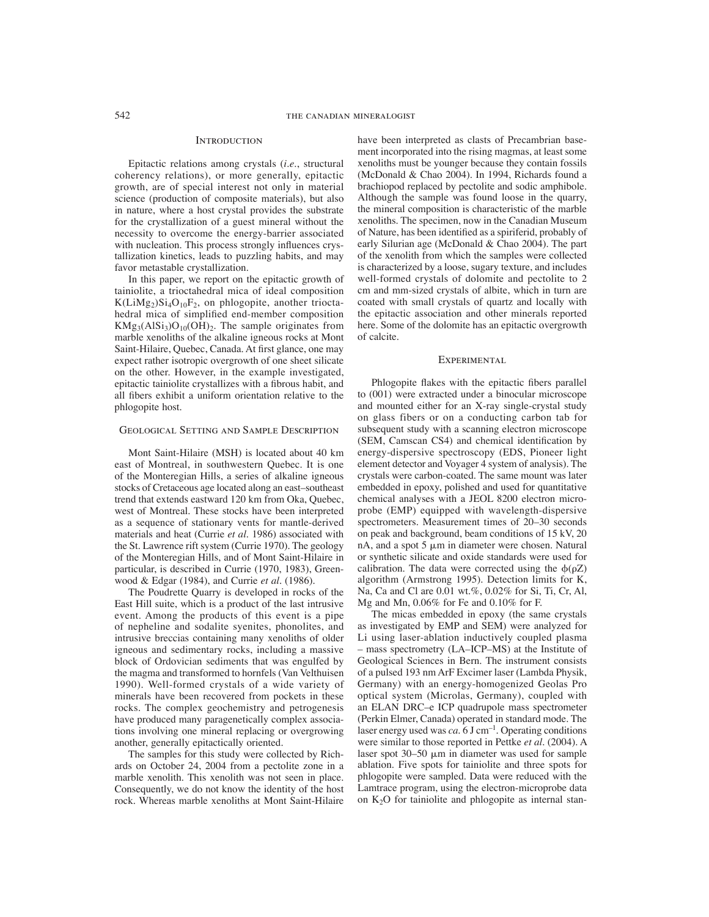#### **INTRODUCTION**

Epitactic relations among crystals (*i.e.*, structural coherency relations), or more generally, epitactic growth, are of special interest not only in material science (production of composite materials), but also in nature, where a host crystal provides the substrate for the crystallization of a guest mineral without the necessity to overcome the energy-barrier associated with nucleation. This process strongly influences crystallization kinetics, leads to puzzling habits, and may favor metastable crystallization.

In this paper, we report on the epitactic growth of tainiolite, a trioctahedral mica of ideal composition  $K(LiMg<sub>2</sub>)Si<sub>4</sub>O<sub>10</sub>F<sub>2</sub>$ , on phlogopite, another trioctahedral mica of simplified end-member composition  $KMg_3(AlSi_3)O_{10}(OH)_2$ . The sample originates from marble xenoliths of the alkaline igneous rocks at Mont Saint-Hilaire, Quebec, Canada. At first glance, one may expect rather isotropic overgrowth of one sheet silicate on the other. However, in the example investigated, epitactic tainiolite crystallizes with a fibrous habit, and all fibers exhibit a uniform orientation relative to the phlogopite host.

# Geological Setting and Sample Description

Mont Saint-Hilaire (MSH) is located about 40 km east of Montreal, in southwestern Quebec. It is one of the Monteregian Hills, a series of alkaline igneous stocks of Cretaceous age located along an east–southeast trend that extends eastward 120 km from Oka, Quebec, west of Montreal. These stocks have been interpreted as a sequence of stationary vents for mantle-derived materials and heat (Currie *et al.* 1986) associated with the St. Lawrence rift system (Currie 1970). The geology of the Monteregian Hills, and of Mont Saint-Hilaire in particular, is described in Currie (1970, 1983), Greenwood & Edgar (1984), and Currie *et al.* (1986).

The Poudrette Quarry is developed in rocks of the East Hill suite, which is a product of the last intrusive event. Among the products of this event is a pipe of nepheline and sodalite syenites, phonolites, and intrusive breccias containing many xenoliths of older igneous and sedimentary rocks, including a massive block of Ordovician sediments that was engulfed by the magma and transformed to hornfels (Van Velthuisen 1990). Well-formed crystals of a wide variety of minerals have been recovered from pockets in these rocks. The complex geochemistry and petrogenesis have produced many paragenetically complex associations involving one mineral replacing or overgrowing another, generally epitactically oriented.

The samples for this study were collected by Richards on October 24, 2004 from a pectolite zone in a marble xenolith. This xenolith was not seen in place. Consequently, we do not know the identity of the host rock. Whereas marble xenoliths at Mont Saint-Hilaire have been interpreted as clasts of Precambrian basement incorporated into the rising magmas, at least some xenoliths must be younger because they contain fossils (McDonald & Chao 2004). In 1994, Richards found a brachiopod replaced by pectolite and sodic amphibole. Although the sample was found loose in the quarry, the mineral composition is characteristic of the marble xenoliths. The specimen, now in the Canadian Museum of Nature, has been identified as a spiriferid, probably of early Silurian age (McDonald & Chao 2004). The part of the xenolith from which the samples were collected is characterized by a loose, sugary texture, and includes well-formed crystals of dolomite and pectolite to 2 cm and mm-sized crystals of albite, which in turn are coated with small crystals of quartz and locally with the epitactic association and other minerals reported here. Some of the dolomite has an epitactic overgrowth of calcite.

#### EXPERIMENTAL

Phlogopite flakes with the epitactic fibers parallel to (001) were extracted under a binocular microscope and mounted either for an X-ray single-crystal study on glass fibers or on a conducting carbon tab for subsequent study with a scanning electron microscope (SEM, Camscan CS4) and chemical identification by energy-dispersive spectroscopy (EDS, Pioneer light element detector and Voyager 4 system of analysis). The crystals were carbon-coated. The same mount was later embedded in epoxy, polished and used for quantitative chemical analyses with a JEOL 8200 electron microprobe (EMP) equipped with wavelength-dispersive spectrometers. Measurement times of 20–30 seconds on peak and background, beam conditions of 15 kV, 20 nA, and a spot 5  $\mu$ m in diameter were chosen. Natural or synthetic silicate and oxide standards were used for calibration. The data were corrected using the  $\phi(\rho Z)$ algorithm (Armstrong 1995). Detection limits for K, Na, Ca and Cl are 0.01 wt.%, 0.02% for Si, Ti, Cr, Al, Mg and Mn, 0.06% for Fe and 0.10% for F.

The micas embedded in epoxy (the same crystals as investigated by EMP and SEM) were analyzed for Li using laser-ablation inductively coupled plasma – mass spectrometry (LA–ICP–MS) at the Institute of Geological Sciences in Bern. The instrument consists of a pulsed 193 nm ArF Excimer laser (Lambda Physik, Germany) with an energy-homogenized Geolas Pro optical system (Microlas, Germany), coupled with an ELAN DRC–e ICP quadrupole mass spectrometer (Perkin Elmer, Canada) operated in standard mode. The laser energy used was  $ca. 6$  J cm<sup>-1</sup>. Operating conditions were similar to those reported in Pettke *et al.* (2004). A laser spot  $30-50 \mu m$  in diameter was used for sample ablation. Five spots for tainiolite and three spots for phlogopite were sampled. Data were reduced with the Lamtrace program, using the electron-microprobe data on  $K<sub>2</sub>O$  for tainiolite and phlogopite as internal stan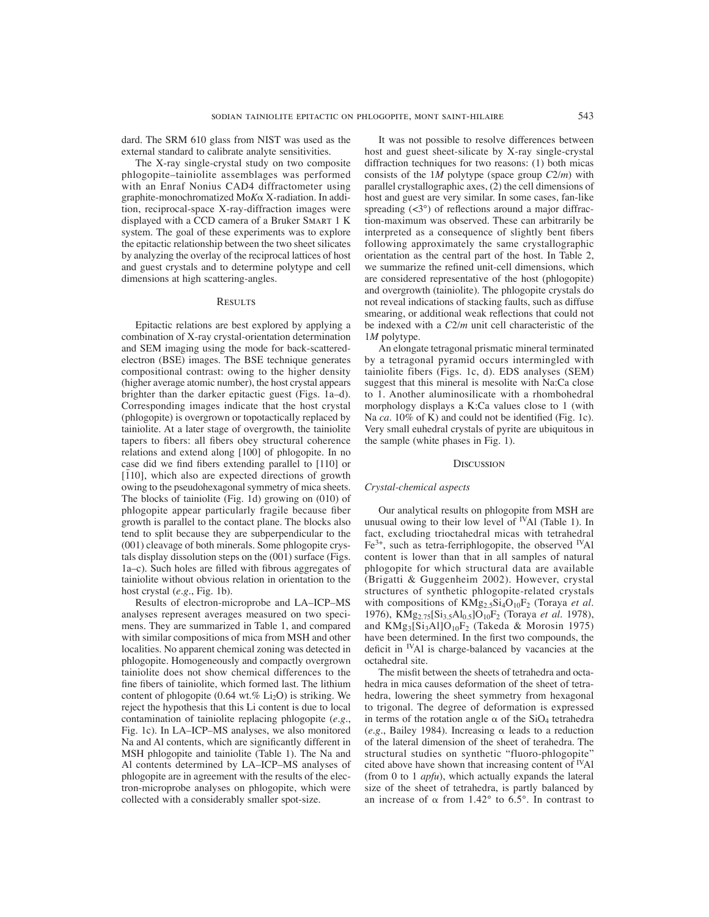dard. The SRM 610 glass from NIST was used as the external standard to calibrate analyte sensitivities.

The X-ray single-crystal study on two composite phlogopite–tainiolite assemblages was performed with an Enraf Nonius CAD4 diffractometer using graphite-monochromatized Mo*K* X-radiation. In addition, reciprocal-space X-ray-diffraction images were displayed with a CCD camera of a Bruker SMART 1 K system. The goal of these experiments was to explore the epitactic relationship between the two sheet silicates by analyzing the overlay of the reciprocal lattices of host and guest crystals and to determine polytype and cell dimensions at high scattering-angles.

### **RESULTS**

Epitactic relations are best explored by applying a combination of X-ray crystal-orientation determination and SEM imaging using the mode for back-scatteredelectron (BSE) images. The BSE technique generates compositional contrast: owing to the higher density (higher average atomic number), the host crystal appears brighter than the darker epitactic guest (Figs. 1a–d). Corresponding images indicate that the host crystal (phlogopite) is overgrown or topotactically replaced by tainiolite. At a later stage of overgrowth, the tainiolite tapers to fibers: all fibers obey structural coherence relations and extend along [100] of phlogopite. In no case did we find fibers extending parallel to [110] or [110], which also are expected directions of growth owing to the pseudohexagonal symmetry of mica sheets. The blocks of tainiolite (Fig. 1d) growing on (010) of phlogopite appear particularly fragile because fiber growth is parallel to the contact plane. The blocks also tend to split because they are subperpendicular to the (001) cleavage of both minerals. Some phlogopite crystals display dissolution steps on the (001) surface (Figs. 1a–c). Such holes are filled with fibrous aggregates of tainiolite without obvious relation in orientation to the host crystal (*e.g*., Fig. 1b).

Results of electron-microprobe and LA–ICP–MS analyses represent averages measured on two specimens. They are summarized in Table 1, and compared with similar compositions of mica from MSH and other localities. No apparent chemical zoning was detected in phlogopite. Homogeneously and compactly overgrown tainiolite does not show chemical differences to the fine fibers of tainiolite, which formed last. The lithium content of phlogopite  $(0.64 \text{ wt.} \% \text{ Li}_2\text{O})$  is striking. We reject the hypothesis that this Li content is due to local contamination of tainiolite replacing phlogopite (*e.g*., Fig. 1c). In LA–ICP–MS analyses, we also monitored Na and Al contents, which are significantly different in MSH phlogopite and tainiolite (Table 1). The Na and Al contents determined by LA–ICP–MS analyses of phlogopite are in agreement with the results of the electron-microprobe analyses on phlogopite, which were collected with a considerably smaller spot-size.

It was not possible to resolve differences between host and guest sheet-silicate by X-ray single-crystal diffraction techniques for two reasons: (1) both micas consists of the 1*M* polytype (space group *C*2/*m*) with parallel crystallographic axes, (2) the cell dimensions of host and guest are very similar. In some cases, fan-like spreading  $(\langle 3^{\circ} \rangle)$  of reflections around a major diffraction-maximum was observed. These can arbitrarily be interpreted as a consequence of slightly bent fibers following approximately the same crystallographic orientation as the central part of the host. In Table 2, we summarize the refined unit-cell dimensions, which are considered representative of the host (phlogopite) and overgrowth (tainiolite). The phlogopite crystals do not reveal indications of stacking faults, such as diffuse smearing, or additional weak reflections that could not be indexed with a *C*2/*m* unit cell characteristic of the 1*M* polytype.

An elongate tetragonal prismatic mineral terminated by a tetragonal pyramid occurs intermingled with tainiolite fibers (Figs. 1c, d). EDS analyses (SEM) suggest that this mineral is mesolite with Na:Ca close to 1. Another aluminosilicate with a rhombohedral morphology displays a K:Ca values close to 1 (with Na *ca*. 10% of K) and could not be identified (Fig. 1c). Very small euhedral crystals of pyrite are ubiquitous in the sample (white phases in Fig. 1).

# **DISCUSSION**

### *Crystal-chemical aspects*

Our analytical results on phlogopite from MSH are unusual owing to their low level of  $N$ Al (Table 1). In fact, excluding trioctahedral micas with tetrahedral  $Fe<sup>3+</sup>$ , such as tetra-ferriphlogopite, the observed <sup>IV</sup>Al content is lower than that in all samples of natural phlogopite for which structural data are available (Brigatti & Guggenheim 2002). However, crystal structures of synthetic phlogopite-related crystals with compositions of KMg<sub>2.5</sub>Si<sub>4</sub>O<sub>10</sub>F<sub>2</sub> (Toraya *et al.*) 1976), KMg2.75[Si3.5Al0.5]O10F2 (Toraya *et al.* 1978), and  $KMg_3[Si_3Al]O_{10}F_2$  (Takeda & Morosin 1975) have been determined. In the first two compounds, the deficit in <sup>IV</sup>Al is charge-balanced by vacancies at the octahedral site.

The misfit between the sheets of tetrahedra and octahedra in mica causes deformation of the sheet of tetrahedra, lowering the sheet symmetry from hexagonal to trigonal. The degree of deformation is expressed in terms of the rotation angle  $\alpha$  of the SiO<sub>4</sub> tetrahedra (*e.g.*, Bailey 1984). Increasing  $\alpha$  leads to a reduction of the lateral dimension of the sheet of terahedra. The structural studies on synthetic "fluoro-phlogopite" cited above have shown that increasing content of  $\rm ^{IV}Al$ (from 0 to 1 *apfu*), which actually expands the lateral size of the sheet of tetrahedra, is partly balanced by an increase of  $\alpha$  from 1.42° to 6.5°. In contrast to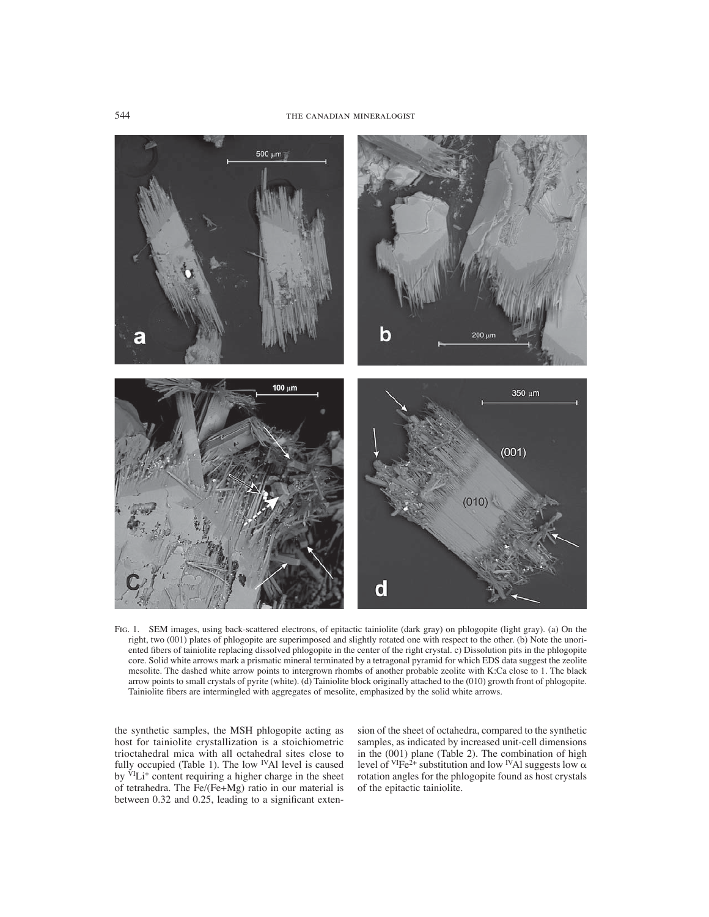

Fig. 1. SEM images, using back-scattered electrons, of epitactic tainiolite (dark gray) on phlogopite (light gray). (a) On the right, two (001) plates of phlogopite are superimposed and slightly rotated one with respect to the other. (b) Note the unoriented fibers of tainiolite replacing dissolved phlogopite in the center of the right crystal. c) Dissolution pits in the phlogopite core. Solid white arrows mark a prismatic mineral terminated by a tetragonal pyramid for which EDS data suggest the zeolite mesolite. The dashed white arrow points to intergrown rhombs of another probable zeolite with K:Ca close to 1. The black arrow points to small crystals of pyrite (white). (d) Tainiolite block originally attached to the (010) growth front of phlogopite. Tainiolite fibers are intermingled with aggregates of mesolite, emphasized by the solid white arrows.

the synthetic samples, the MSH phlogopite acting as host for tainiolite crystallization is a stoichiometric trioctahedral mica with all octahedral sites close to fully occupied (Table 1). The low <sup>IV</sup>Al level is caused by <sup>VI</sup>Li<sup>+</sup> content requiring a higher charge in the sheet of tetrahedra. The Fe/(Fe+Mg) ratio in our material is between  $0.32$  and  $0.25$ , leading to a significant extension of the sheet of octahedra, compared to the synthetic samples, as indicated by increased unit-cell dimensions in the (001) plane (Table 2). The combination of high level of <sup>VI</sup>Fe<sup>2+</sup> substitution and low <sup>IV</sup>Al suggests low  $\alpha$ rotation angles for the phlogopite found as host crystals of the epitactic tainiolite.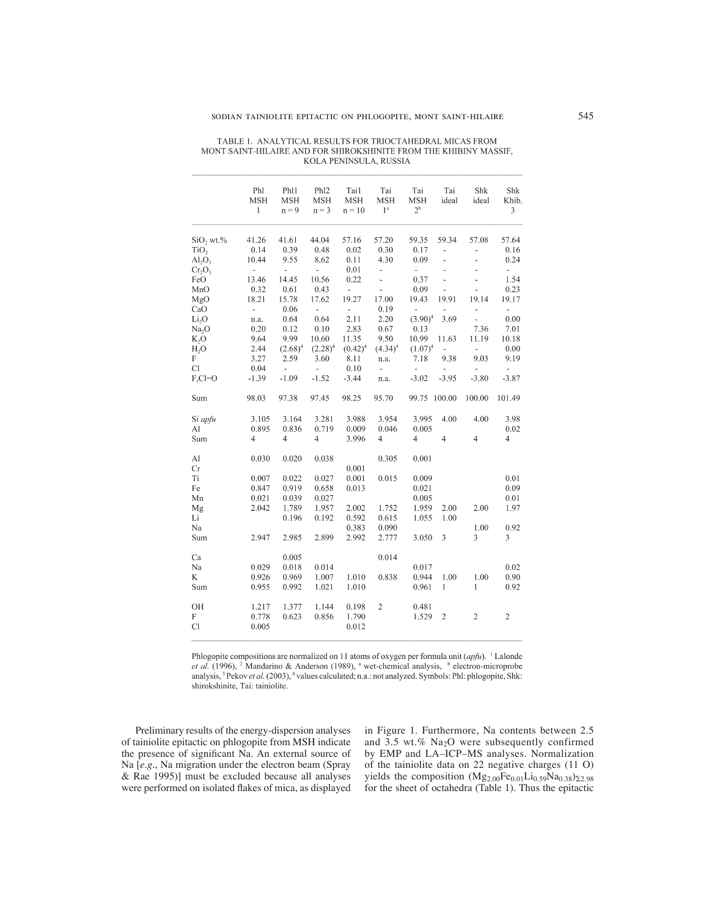| TABLE 1. ANALYTICAL RESULTS FOR TRIOCTAHEDRAL MICAS FROM          |
|-------------------------------------------------------------------|
| MONT SAINT-HILAIRE AND FOR SHIROKSHINITE FROM THE KHIBINY MASSIF. |
| KOLA PENINSULA. RUSSIA                                            |

|                   | Phl<br><b>MSH</b><br>$\mathbf{1}$ | Ph11<br><b>MSH</b><br>$n = 9$ | Ph <sub>12</sub><br><b>MSH</b><br>$n = 3$ | Tai1<br><b>MSH</b><br>$n = 10$ | Tai<br><b>MSH</b><br>1 <sup>a</sup> | Tai<br><b>MSH</b><br>2 <sup>b</sup> | Tai<br>ideal   | Shk<br>ideal   | Shk<br>Khib.<br>3 |
|-------------------|-----------------------------------|-------------------------------|-------------------------------------------|--------------------------------|-------------------------------------|-------------------------------------|----------------|----------------|-------------------|
| SiO, wt.%         | 41.26                             | 41.61                         | 44.04                                     | 57.16                          | 57.20                               | 59.35                               | 59.34          | 57.08          | 57.64             |
| TiO <sub>2</sub>  | 0.14                              | 0.39                          | 0.48                                      | 0.02                           | 0.30                                | 0.17                                | L,             | ÷,             | 0.16              |
| $Al_2O_3$         | 10.44                             | 9.55                          | 8.62                                      | 0.11                           | 4.30                                | 0.09                                | $\overline{a}$ | ä,             | 0.24              |
| $Cr_2O_3$         | $\overline{\phantom{a}}$          | $\overline{\phantom{0}}$      | u,                                        | 0.01                           | $\overline{\phantom{a}}$            | $\blacksquare$                      | L,             |                | ÷,                |
| FeO               | 13.46                             | 14.45                         | 10.56                                     | 0.22                           | L.                                  | 0.37                                | $\overline{a}$ | L              | 1.54              |
| MnO               | 0.32                              | 0.61                          | 0.43                                      | $\overline{a}$                 | $\overline{a}$                      | 0.09                                | u,             | $\overline{a}$ | 0.23              |
| MgO               | 18.21                             | 15.78                         | 17.62                                     | 19.27                          | 17.00                               | 19.43                               | 19.91          | 19.14          | 19.17             |
| CaO               | $\overline{\phantom{a}}$          | 0.06                          | ÷,                                        | ÷                              | 0.19                                | ä,                                  |                | ÷              | ÷,                |
| Li <sub>2</sub> O | n.a.                              | 0.64                          | 0.64                                      | 2.11                           | 2.20                                | $(3.90)^4$                          | 3.69           | $\frac{1}{2}$  | 0.00              |
| Na <sub>2</sub> O | 0.20                              | 0.12                          | 0.10                                      | 2.83                           | 0.67                                | 0.13                                |                | 7.36           | 7.01              |
| K, O              | 9.64                              | 9.99                          | 10.60                                     | 11.35                          | 9.50                                | 10.99                               | 11.63          | 11.19          | 10.18             |
| H <sub>2</sub> O  | 2.44                              | $(2.68)^4$                    | $(2.28)^4$                                | $(0.42)^4$                     | $(4.34)^4$                          | $(1.07)^4$                          | ÷,             | ä,             | 0.00              |
| F                 | 3.27                              | 2.59                          | 3.60                                      | 8.11                           | n.a.                                | 7.18                                | 9.38           | 9.03           | 9.19              |
| Cl                | 0.04                              | $\overline{\phantom{a}}$      | $\overline{\phantom{a}}$                  | 0.10                           | $\overline{a}$                      | $\frac{1}{2}$                       |                |                | $\frac{1}{2}$     |
| $F, C = O$        | $-1.39$                           | $-1.09$                       | $-1.52$                                   | $-3.44$                        | n.a.                                | $-3.02$                             | $-3.95$        | $-3.80$        | $-3.87$           |
| Sum               | 98.03                             | 97.38                         | 97.45                                     | 98.25                          | 95.70                               | 99.75                               | 100.00         | 100.00         | 101.49            |
| Si apfu           | 3.105                             | 3.164                         | 3.281                                     | 3.988                          | 3.954                               | 3.995                               | 4.00           | 4.00           | 3.98              |
| Al                | 0.895                             | 0.836                         | 0.719                                     | 0.009                          | 0.046                               | 0.005                               |                |                | 0.02              |
| Sum               | $\overline{4}$                    | 4                             | 4                                         | 3.996                          | $\overline{\mathcal{L}}$            | 4                                   | $\overline{4}$ | 4              | 4                 |
| Al                | 0.030                             | 0.020                         | 0.038                                     |                                | 0.305                               | 0.001                               |                |                |                   |
| Cr                |                                   |                               |                                           | 0.001                          |                                     |                                     |                |                |                   |
| Ti                | 0.007                             | 0.022                         | 0.027                                     | 0.001                          | 0.015                               | 0.009                               |                |                | 0.01              |
| Fe                | 0.847                             | 0.919                         | 0.658                                     | 0.013                          |                                     | 0.021                               |                |                | 0.09              |
| Mn                | 0.021                             | 0.039                         | 0.027                                     |                                |                                     | 0.005                               |                |                | 0.01              |
| Mg                | 2.042                             | 1.789                         | 1.957                                     | 2.002                          | 1.752                               | 1.959                               | 2.00           | 2.00           | 1.97              |
| Li                |                                   | 0.196                         | 0.192                                     | 0.592                          | 0.615                               | 1.055                               | 1.00           |                |                   |
| Na                |                                   |                               |                                           | 0.383                          | 0.090                               |                                     |                | 1.00           | 0.92              |
| Sum               | 2.947                             | 2.985                         | 2.899                                     | 2.992                          | 2.777                               | 3.050                               | 3              | 3              | 3                 |
| Ca                |                                   | 0.005                         |                                           |                                | 0.014                               |                                     |                |                |                   |
| Na                | 0.029                             | 0.018                         | 0.014                                     |                                |                                     | 0.017                               |                |                | 0.02              |
| K                 | 0.926                             | 0.969                         | 1.007                                     | 1.010                          | 0.838                               | 0.944                               | 1.00           | 1.00           | 0.90              |
| Sum               | 0.955                             | 0.992                         | 1.021                                     | 1.010                          |                                     | 0.961                               | $\mathbf{I}$   | 1              | 0.92              |
| OH                | 1.217                             | 1.377                         | 1.144                                     | 0.198                          | 2                                   | 0.481                               |                |                |                   |
| F                 | 0.778                             | 0.623                         | 0.856                                     | 1.790                          |                                     | 1.529                               | $\overline{c}$ | $\overline{c}$ | $\sqrt{2}$        |
| Cl                | 0.005                             |                               |                                           | 0.012                          |                                     |                                     |                |                |                   |
|                   |                                   |                               |                                           |                                |                                     |                                     |                |                |                   |

Phlogopite compositions are normalized on 11 atoms of oxygen per formula unit (apfu). <sup>1</sup> Lalonde et al. (1996), <sup>2</sup> Mandarino & Anderson (1989), <sup>a</sup> wet-chemical analysis, <sup>b</sup> electron-microprobe analysis, <sup>3</sup> Pekov et al. (2003), <sup>4</sup> values calculated; n.a.: not analyzed. Symbols: Phl: phlogopite, Shk: shirokshinite, Tai: tainiolite.

Preliminary results of the energy-dispersion analyses of tainiolite epitactic on phlogopite from MSH indicate the presence of significant Na. An external source of Na [*e*.*g*., Na migration under the electron beam (Spray & Rae 1995)] must be excluded because all analyses were performed on isolated flakes of mica, as displayed in Figure 1. Furthermore, Na contents between 2.5 and 3.5 wt.% Na2O were subsequently confirmed by EMP and LA–ICP–MS analyses. Normalization of the tainiolite data on 22 negative charges (11 O) yields the composition  $(Mg_{2.00}Fe_{0.01}Li_{0.59}Na_{0.38})_{\Sigma2.98}$ for the sheet of octahedra (Table 1). Thus the epitactic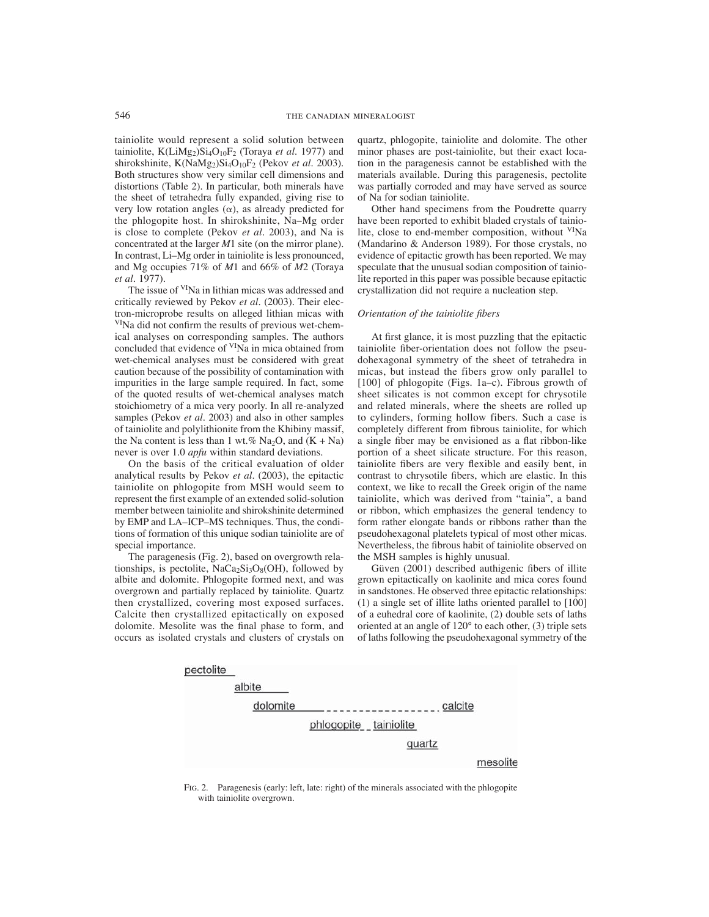tainiolite would represent a solid solution between tainiolite, K(LiMg<sub>2</sub>)Si<sub>4</sub>O<sub>10</sub>F<sub>2</sub> (Toraya *et al.* 1977) and shirokshinite, K(NaMg<sub>2</sub>)Si<sub>4</sub>O<sub>10</sub>F<sub>2</sub> (Pekov *et al.* 2003). Both structures show very similar cell dimensions and distortions (Table 2). In particular, both minerals have the sheet of tetrahedra fully expanded, giving rise to very low rotation angles  $(\alpha)$ , as already predicted for the phlogopite host. In shirokshinite, Na–Mg order is close to complete (Pekov *et al.* 2003), and Na is concentrated at the larger *M*1 site (on the mirror plane). In contrast, Li–Mg order in tainiolite is less pronounced, and Mg occupies 71% of *M*1 and 66% of *M*2 (Toraya *et al.* 1977).

The issue of <sup>VI</sup>Na in lithian micas was addressed and critically reviewed by Pekov *et al.* (2003). Their electron-microprobe results on alleged lithian micas with <sup>VI</sup>Na did not confirm the results of previous wet-chemical analyses on corresponding samples. The authors concluded that evidence of <sup>VI</sup>Na in mica obtained from wet-chemical analyses must be considered with great caution because of the possibility of contamination with impurities in the large sample required. In fact, some of the quoted results of wet-chemical analyses match stoichiometry of a mica very poorly. In all re-analyzed samples (Pekov *et al*. 2003) and also in other samples of tainiolite and polylithionite from the Khibiny massif, the Na content is less than 1 wt.% Na<sub>2</sub>O, and  $(K + Na)$ never is over 1.0 *apfu* within standard deviations.

On the basis of the critical evaluation of older analytical results by Pekov *et al.* (2003), the epitactic tainiolite on phlogopite from MSH would seem to represent the first example of an extended solid-solution member between tainiolite and shirokshinite determined by EMP and LA–ICP–MS techniques. Thus, the conditions of formation of this unique sodian tainiolite are of special importance.

The paragenesis (Fig. 2), based on overgrowth relationships, is pectolite,  $NaCa<sub>2</sub>Si<sub>3</sub>O<sub>8</sub>(OH)$ , followed by albite and dolomite. Phlogopite formed next, and was overgrown and partially replaced by tainiolite. Quartz then crystallized, covering most exposed surfaces. Calcite then crystallized epitactically on exposed dolomite. Mesolite was the final phase to form, and occurs as isolated crystals and clusters of crystals on quartz, phlogopite, tainiolite and dolomite. The other minor phases are post-tainiolite, but their exact location in the paragenesis cannot be established with the materials available. During this paragenesis, pectolite was partially corroded and may have served as source of Na for sodian tainiolite.

Other hand specimens from the Poudrette quarry have been reported to exhibit bladed crystals of tainiolite, close to end-member composition, without <sup>VI</sup>Na (Mandarino & Anderson 1989). For those crystals, no evidence of epitactic growth has been reported. We may speculate that the unusual sodian composition of tainiolite reported in this paper was possible because epitactic crystallization did not require a nucleation step.

# *Orientation of the tainiolite fibers*

At first glance, it is most puzzling that the epitactic tainiolite fiber-orientation does not follow the pseudohexagonal symmetry of the sheet of tetrahedra in micas, but instead the fibers grow only parallel to [100] of phlogopite (Figs. 1a–c). Fibrous growth of sheet silicates is not common except for chrysotile and related minerals, where the sheets are rolled up to cylinders, forming hollow fibers. Such a case is completely different from fibrous tainiolite, for which a single fiber may be envisioned as a flat ribbon-like portion of a sheet silicate structure. For this reason, tainiolite fibers are very flexible and easily bent, in contrast to chrysotile fibers, which are elastic. In this context, we like to recall the Greek origin of the name tainiolite, which was derived from "tainia", a band or ribbon, which emphasizes the general tendency to form rather elongate bands or ribbons rather than the pseudohexagonal platelets typical of most other micas. Nevertheless, the fibrous habit of tainiolite observed on the MSH samples is highly unusual.

Güven (2001) described authigenic fibers of illite grown epitactically on kaolinite and mica cores found in sandstones. He observed three epitactic relationships: (1) a single set of illite laths oriented parallel to [100] of a euhedral core of kaolinite, (2) double sets of laths oriented at an angle of 120° to each other, (3) triple sets of laths following the pseudohexagonal symmetry of the



Fig. 2. Paragenesis (early: left, late: right) of the minerals associated with the phlogopite with tainiolite overgrown.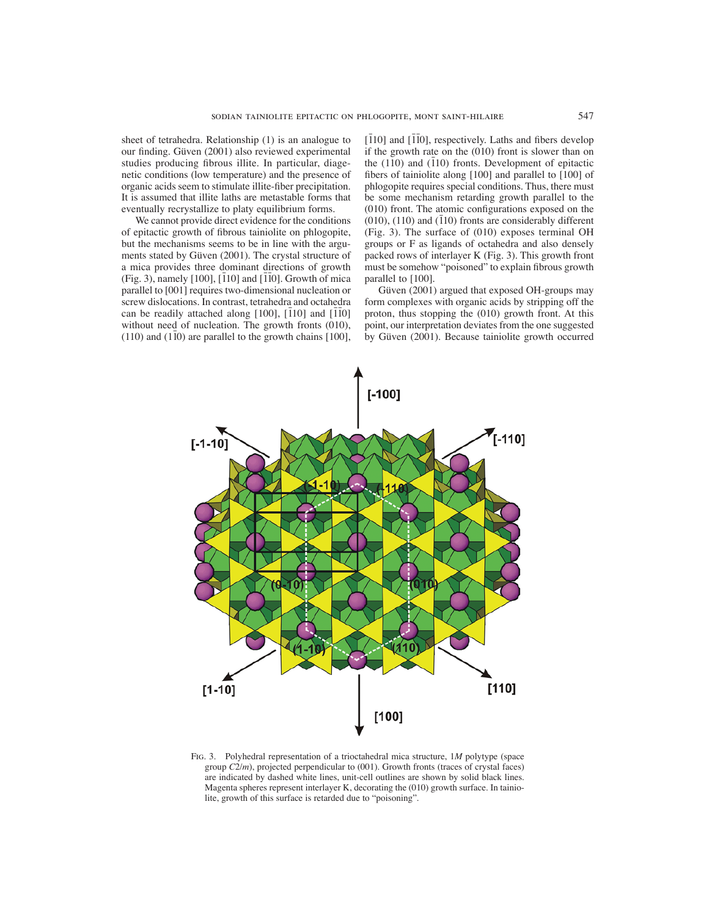sheet of tetrahedra. Relationship (1) is an analogue to our finding. Güven (2001) also reviewed experimental studies producing fibrous illite. In particular, diagenetic conditions (low temperature) and the presence of organic acids seem to stimulate illite-fiber precipitation. It is assumed that illite laths are metastable forms that eventually recrystallize to platy equilibrium forms.

We cannot provide direct evidence for the conditions of epitactic growth of fibrous tainiolite on phlogopite, but the mechanisms seems to be in line with the arguments stated by Güven (2001). The crystal structure of a mica provides three dominant directions of growth  $(Fig. 3)$ , namely [100], [110] and [110]. Growth of mica parallel to [001] requires two-dimensional nucleation or screw dislocations. In contrast, tetrahedra and octahedra can be readily attached along [100],  $[\bar{1}10]$  and  $[\bar{1}\bar{1}0]$ without need of nucleation. The growth fronts (010),  $(110)$  and  $(1\bar{1}0)$  are parallel to the growth chains [100],

[10] and [10], respectively. Laths and fibers develop if the growth rate on the (010) front is slower than on the  $(110)$  and  $(110)$  fronts. Development of epitactic fibers of tainiolite along  $[100]$  and parallel to  $[100]$  of phlogopite requires special conditions. Thus, there must be some mechanism retarding growth parallel to the  $(010)$  front. The atomic configurations exposed on the  $(010)$ ,  $(110)$  and  $(110)$  fronts are considerably different (Fig. 3). The surface of (010) exposes terminal OH groups or F as ligands of octahedra and also densely packed rows of interlayer K (Fig. 3). This growth front must be somehow "poisoned" to explain fibrous growth parallel to [100].

Güven (2001) argued that exposed OH-groups may form complexes with organic acids by stripping off the proton, thus stopping the (010) growth front. At this point, our interpretation deviates from the one suggested by Güven (2001). Because tainiolite growth occurred



Fig. 3. Polyhedral representation of a trioctahedral mica structure, 1*M* polytype (space group *C*2/*m*), projected perpendicular to (001). Growth fronts (traces of crystal faces) are indicated by dashed white lines, unit-cell outlines are shown by solid black lines. Magenta spheres represent interlayer K, decorating the (010) growth surface. In tainiolite, growth of this surface is retarded due to "poisoning".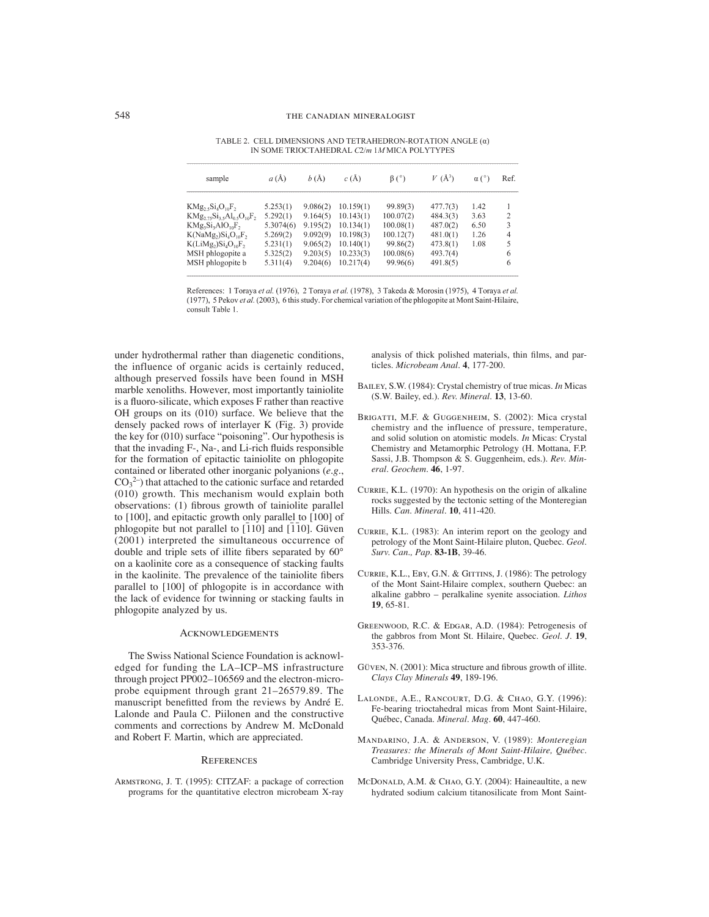| sample                                                                     | $a(\text{\AA})$ | b(A)     | c(A)      | $\beta$ (°) | $V(\AA^3)$ | $\alpha$ (°) | Ref.           |
|----------------------------------------------------------------------------|-----------------|----------|-----------|-------------|------------|--------------|----------------|
| $Mg_2, Si_4O_{10}F_2$                                                      | 5.253(1)        | 9.086(2) | 10.159(1) | 99.89(3)    | 477.7(3)   | 1.42         |                |
| $Mg_{2.75}Si_{3.5}Al_{0.5}O_{10}F_{2.7}$                                   | 5.292(1)        | 9.164(5) | 10.143(1) | 100.07(2)   | 484.3(3)   | 3.63         | 2              |
| $Mg_3Si_3AlO_{10}F_2$                                                      | 5.3074(6)       | 9.195(2) | 10.134(1) | 100.08(1)   | 487.0(2)   | 6.50         | 3              |
| $\zeta(NaMg_2)Si_4O_{10}F_2$                                               | 5.269(2)        | 9.092(9) | 10.198(3) | 100.12(7)   | 481.0(1)   | 1.26         | $\overline{4}$ |
| $\zeta$ (LiMg <sub>2</sub> )Si <sub>4</sub> O <sub>10</sub> F <sub>2</sub> | 5.231(1)        | 9.065(2) | 10.140(1) | 99.86(2)    | 473.8(1)   | 1.08         | 5              |
| ASH phlogopite a                                                           | 5.325(2)        | 9.203(5) | 10.233(3) | 100.08(6)   | 493.7(4)   |              | 6              |
| ASH phlogopite b                                                           | 5.311(4)        | 9,204(6) | 10.217(4) | 99.96(6)    | 491.8(5)   |              | 6              |
|                                                                            |                 |          |           |             |            |              |                |

TABLE 2. CELL DIMENSIONS AND TETRAHEDRON-ROTATION ANGLE (a) IN SOME TRIOCTAHEDRAL C2/m 1MMICA POLYTYPES

References: 1 Toraya et al. (1976), 2 Toraya et al. (1978), 3 Takeda & Morosin (1975), 4 Toraya et al. (1977), 5 Pekov et al. (2003), 6 this study. For chemical variation of the phlogopite at Mont Saint-Hilaire, consult Table 1.

under hydrothermal rather than diagenetic conditions, the influence of organic acids is certainly reduced, although preserved fossils have been found in MSH marble xenoliths. However, most importantly tainiolite is a fluoro-silicate, which exposes F rather than reactive OH groups on its (010) surface. We believe that the densely packed rows of interlayer K (Fig. 3) provide the key for (010) surface "poisoning". Our hypothesis is that the invading  $F<sub>-</sub>$ , Na-, and Li-rich fluids responsible for the formation of epitactic tainiolite on phlogopite contained or liberated other inorganic polyanions (*e.g.*,  $CO<sub>3</sub><sup>2–</sup>$ ) that attached to the cationic surface and retarded (010) growth. This mechanism would explain both observations: (1) fibrous growth of tainiolite parallel to [100], and epitactic growth only parallel to [100] of phlogopite but not parallel to  $\left[110\right]$  and  $\left[110\right]$ . Güven (2001) interpreted the simultaneous occurrence of double and triple sets of illite fibers separated by 60° on a kaolinite core as a consequence of stacking faults in the kaolinite. The prevalence of the tainiolite fibers parallel to [100] of phlogopite is in accordance with the lack of evidence for twinning or stacking faults in phlogopite analyzed by us.

#### **ACKNOWLEDGEMENTS**

The Swiss National Science Foundation is acknowledged for funding the LA–ICP–MS infrastructure through project PP002–106569 and the electron-microprobe equipment through grant 21–26579.89. The manuscript benefitted from the reviews by André E. Lalonde and Paula C. Piilonen and the constructive comments and corrections by Andrew M. McDonald and Robert F. Martin, which are appreciated.

### **REFERENCES**

Armstrong, J. T. (1995): CITZAF: a package of correction programs for the quantitative electron microbeam X-ray analysis of thick polished materials, thin films, and particles. *Microbeam Anal.* **4**, 177-200.

- Bailey, S.W. (1984): Crystal chemistry of true micas. *In* Micas (S.W. Bailey, ed.). *Rev. Mineral*. **13**, 13-60.
- BRIGATTI, M.F. & GUGGENHEIM, S. (2002): Mica crystal chemistry and the influence of pressure, temperature, and solid solution on atomistic models. *In* Micas: Crystal Chemistry and Metamorphic Petrology (H. Mottana, F.P. Sassi, J.B. Thompson & S. Guggenheim, eds.). *Rev. Mineral. Geochem.* **46**, 1-97.
- CURRIE, K.L. (1970): An hypothesis on the origin of alkaline rocks suggested by the tectonic setting of the Monteregian Hills. *Can. Mineral*. **10**, 411-420.
- CURRIE, K.L. (1983): An interim report on the geology and petrology of the Mont Saint-Hilaire pluton, Quebec. *Geol. Surv. Can., Pap*. **83-1B**, 39-46.
- CURRIE, K.L., EBY, G.N. & GITTINS, J. (1986): The petrology of the Mont Saint-Hilaire complex, southern Quebec: an alkaline gabbro – peralkaline syenite association. *Lithos* **19**, 65-81.
- GREENWOOD, R.C. & EDGAR, A.D. (1984): Petrogenesis of the gabbros from Mont St. Hilaire, Quebec. *Geol. J*. **19**, 353-376.
- GÜVEN, N. (2001): Mica structure and fibrous growth of illite. *Clays Clay Minerals* **49**, 189-196.
- Lalonde, A.E., Rancourt, D.G. & Chao, G.Y. (1996): Fe-bearing trioctahedral micas from Mont Saint-Hilaire, Québec, Canada. *Mineral. Mag.* **60**, 447-460.
- Mandarino, J.A. & Anderson, V. (1989): *Monteregian Treasures: the Minerals of Mont Saint-Hilaire, Québec*. Cambridge University Press, Cambridge, U.K.
- McDonald, A.M. & Chao, G.Y. (2004): Haineaultite, a new hydrated sodium calcium titanosilicate from Mont Saint-